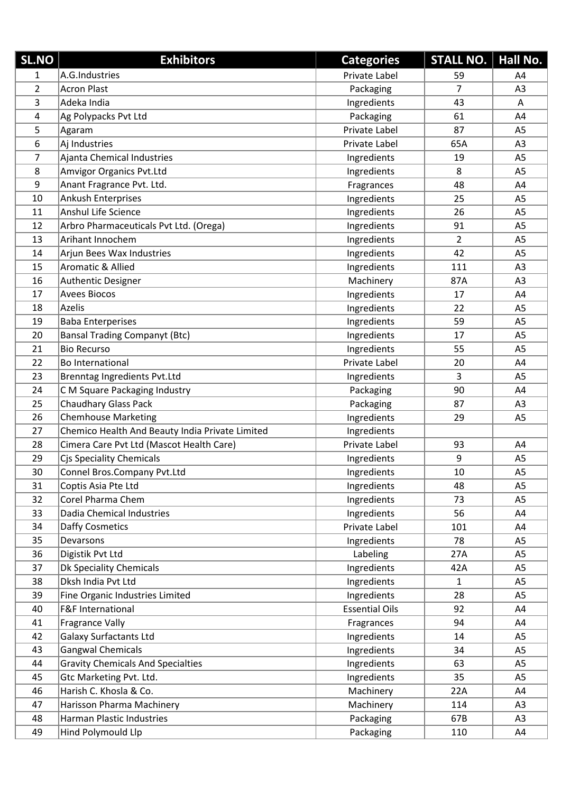| <b>SL.NO</b>   | <b>Exhibitors</b>                               | <b>Categories</b>     | <b>STALL NO.</b> | Hall No.       |
|----------------|-------------------------------------------------|-----------------------|------------------|----------------|
| 1              | A.G.Industries                                  | Private Label         | 59               | A4             |
| $\overline{2}$ | <b>Acron Plast</b>                              | Packaging             | $\overline{7}$   | A3             |
| 3              | Adeka India                                     | Ingredients           | 43               | A              |
| $\overline{4}$ | Ag Polypacks Pvt Ltd                            | Packaging             | 61               | A4             |
| 5              | Agaram                                          | Private Label         | 87               | A <sub>5</sub> |
| 6              | Aj Industries                                   | Private Label         | 65A              | A <sub>3</sub> |
| 7              | Ajanta Chemical Industries                      | Ingredients           | 19               | A <sub>5</sub> |
| 8              | <b>Amvigor Organics Pvt.Ltd</b>                 | Ingredients           | 8                | A <sub>5</sub> |
| 9              | Anant Fragrance Pvt. Ltd.                       | Fragrances            | 48               | A4             |
| 10             | <b>Ankush Enterprises</b>                       | Ingredients           | 25               | A <sub>5</sub> |
| 11             | Anshul Life Science                             | Ingredients           | 26               | A <sub>5</sub> |
| 12             | Arbro Pharmaceuticals Pvt Ltd. (Orega)          | Ingredients           | 91               | A <sub>5</sub> |
| 13             | Arihant Innochem                                | Ingredients           | $\overline{2}$   | A <sub>5</sub> |
| 14             | Arjun Bees Wax Industries                       | Ingredients           | 42               | A <sub>5</sub> |
| 15             | Aromatic & Allied                               | Ingredients           | 111              | A <sub>3</sub> |
| 16             | Authentic Designer                              | Machinery             | 87A              | A <sub>3</sub> |
| 17             | <b>Avees Biocos</b>                             | Ingredients           | 17               | A4             |
| 18             | <b>Azelis</b>                                   | Ingredients           | 22               | A <sub>5</sub> |
| 19             | <b>Baba Enterperises</b>                        | Ingredients           | 59               | A <sub>5</sub> |
| 20             | <b>Bansal Trading Companyt (Btc)</b>            | Ingredients           | 17               | A <sub>5</sub> |
| 21             | <b>Bio Recurso</b>                              | Ingredients           | 55               | A <sub>5</sub> |
| 22             | <b>Bo International</b>                         | Private Label         | 20               | A4             |
| 23             | Brenntag Ingredients Pvt.Ltd                    | Ingredients           | 3                | A <sub>5</sub> |
| 24             | C M Square Packaging Industry                   | Packaging             | 90               | A4             |
| 25             | Chaudhary Glass Pack                            | Packaging             | 87               | A <sub>3</sub> |
| 26             | <b>Chemhouse Marketing</b>                      | Ingredients           | 29               | A <sub>5</sub> |
| 27             | Chemico Health And Beauty India Private Limited | Ingredients           |                  |                |
| 28             | Cimera Care Pvt Ltd (Mascot Health Care)        | Private Label         | 93               | A4             |
| 29             | Cjs Speciality Chemicals                        | Ingredients           | 9                | A <sub>5</sub> |
| 30             | Connel Bros.Company Pvt.Ltd                     | Ingredients           | 10               | A5             |
| 31             | Coptis Asia Pte Ltd                             | Ingredients           | 48               | A <sub>5</sub> |
| 32             | Corel Pharma Chem                               | Ingredients           | 73               | A <sub>5</sub> |
| 33             | Dadia Chemical Industries                       | Ingredients           | 56               | A4             |
| 34             | Daffy Cosmetics                                 | Private Label         | 101              | A4             |
| 35             | Devarsons                                       | Ingredients           | 78               | A <sub>5</sub> |
| 36             | Digistik Pvt Ltd                                | Labeling              | 27A              | A <sub>5</sub> |
| 37             | Dk Speciality Chemicals                         | Ingredients           | 42A              | A <sub>5</sub> |
| 38             | Dksh India Pvt Ltd                              | Ingredients           | $\mathbf{1}$     | A <sub>5</sub> |
| 39             | Fine Organic Industries Limited                 | Ingredients           | 28               | A <sub>5</sub> |
| 40             | F&F International                               | <b>Essential Oils</b> | 92               | A4             |
| 41             | <b>Fragrance Vally</b>                          | Fragrances            | 94               | A4             |
| 42             | <b>Galaxy Surfactants Ltd</b>                   | Ingredients           | 14               | A <sub>5</sub> |
| 43             | <b>Gangwal Chemicals</b>                        | Ingredients           | 34               | A <sub>5</sub> |
| 44             | <b>Gravity Chemicals And Specialties</b>        | Ingredients           | 63               | A5             |
| 45             | Gtc Marketing Pvt. Ltd.                         | Ingredients           | 35               | A <sub>5</sub> |
| 46             | Harish C. Khosla & Co.                          | Machinery             | 22A              | A4             |
| 47             | Harisson Pharma Machinery                       | Machinery             | 114              | A3             |
| 48             | <b>Harman Plastic Industries</b>                | Packaging             | 67B              | A3             |
| 49             | Hind Polymould Llp                              | Packaging             | 110              | A4             |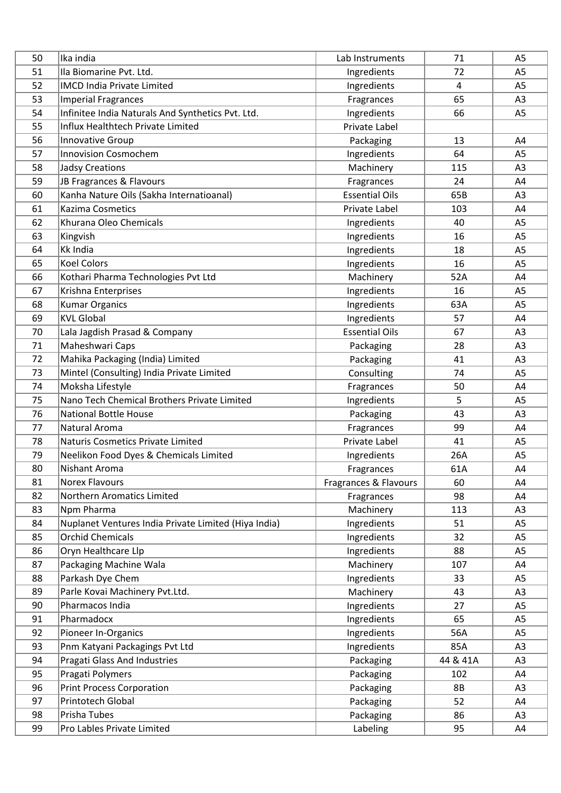| 50 | Ika india                                            | Lab Instruments       | 71        | A <sub>5</sub> |
|----|------------------------------------------------------|-----------------------|-----------|----------------|
| 51 | Ila Biomarine Pvt. Ltd.                              | Ingredients           | 72        | A <sub>5</sub> |
| 52 | <b>IMCD India Private Limited</b>                    | Ingredients           | 4         | A <sub>5</sub> |
| 53 | <b>Imperial Fragrances</b>                           | Fragrances            | 65        | A3             |
| 54 | Infinitee India Naturals And Synthetics Pvt. Ltd.    | Ingredients           | 66        | A <sub>5</sub> |
| 55 | Influx Healthtech Private Limited                    | Private Label         |           |                |
| 56 | Innovative Group                                     | Packaging             | 13        | A4             |
| 57 | <b>Innovision Cosmochem</b>                          | Ingredients           | 64        | A <sub>5</sub> |
| 58 | <b>Jadsy Creations</b>                               | Machinery             | 115       | A3             |
| 59 | JB Fragrances & Flavours                             | Fragrances            | 24        | A4             |
| 60 | Kanha Nature Oils (Sakha Internatioanal)             | <b>Essential Oils</b> | 65B       | A <sub>3</sub> |
| 61 | Kazima Cosmetics                                     | Private Label         | 103       | A4             |
| 62 | Khurana Oleo Chemicals                               | Ingredients           | 40        | A <sub>5</sub> |
| 63 | Kingvish                                             | Ingredients           | 16        | A <sub>5</sub> |
| 64 | <b>Kk India</b>                                      | Ingredients           | 18        | A <sub>5</sub> |
| 65 | <b>Koel Colors</b>                                   | Ingredients           | 16        | A <sub>5</sub> |
| 66 | Kothari Pharma Technologies Pvt Ltd                  | Machinery             | 52A       | A4             |
| 67 | Krishna Enterprises                                  | Ingredients           | 16        | A <sub>5</sub> |
| 68 | <b>Kumar Organics</b>                                | Ingredients           | 63A       | A <sub>5</sub> |
| 69 | <b>KVL Global</b>                                    | Ingredients           | 57        | A4             |
| 70 | Lala Jagdish Prasad & Company                        | <b>Essential Oils</b> | 67        | A <sub>3</sub> |
| 71 | Maheshwari Caps                                      | Packaging             | 28        | A <sub>3</sub> |
| 72 | Mahika Packaging (India) Limited                     | Packaging             | 41        | A <sub>3</sub> |
| 73 | Mintel (Consulting) India Private Limited            | Consulting            | 74        | A <sub>5</sub> |
| 74 | Moksha Lifestyle                                     | Fragrances            | 50        | A4             |
| 75 | Nano Tech Chemical Brothers Private Limited          | Ingredients           | 5         | A <sub>5</sub> |
| 76 | National Bottle House                                | Packaging             | 43        | A <sub>3</sub> |
| 77 | Natural Aroma                                        | Fragrances            | 99        | A4             |
| 78 | <b>Naturis Cosmetics Private Limited</b>             | Private Label         | 41        | A <sub>5</sub> |
| 79 | Neelikon Food Dyes & Chemicals Limited               | Ingredients           | 26A       | A <sub>5</sub> |
| 80 | Nishant Aroma                                        | Fragrances            | 61A       | A4             |
| 81 | <b>Norex Flavours</b>                                | Fragrances & Flavours | 60        | A4             |
| 82 | Northern Aromatics Limited                           | Fragrances            | 98        | A4             |
| 83 | Npm Pharma                                           | Machinery             | 113       | A <sub>3</sub> |
| 84 | Nuplanet Ventures India Private Limited (Hiya India) | Ingredients           | 51        | A <sub>5</sub> |
| 85 | <b>Orchid Chemicals</b>                              | Ingredients           | 32        | A <sub>5</sub> |
| 86 | Oryn Healthcare Llp                                  | Ingredients           | 88        | A <sub>5</sub> |
| 87 | Packaging Machine Wala                               | Machinery             | 107       | A4             |
| 88 | Parkash Dye Chem                                     | Ingredients           | 33        | A <sub>5</sub> |
| 89 | Parle Kovai Machinery Pvt.Ltd.                       | Machinery             | 43        | A <sub>3</sub> |
| 90 | Pharmacos India                                      | Ingredients           | 27        | A <sub>5</sub> |
| 91 | Pharmadocx                                           | Ingredients           | 65        | A <sub>5</sub> |
| 92 | Pioneer In-Organics                                  | Ingredients           | 56A       | A <sub>5</sub> |
| 93 | Pnm Katyani Packagings Pvt Ltd                       | Ingredients           | 85A       | A <sub>3</sub> |
| 94 | <b>Pragati Glass And Industries</b>                  | Packaging             | 44 & 41A  | A <sub>3</sub> |
| 95 | Pragati Polymers                                     | Packaging             | 102       | A4             |
| 96 | <b>Print Process Corporation</b>                     | Packaging             | <b>8B</b> | A <sub>3</sub> |
| 97 | Printotech Global                                    | Packaging             | 52        | A4             |
| 98 | Prisha Tubes                                         | Packaging             | 86        | A <sub>3</sub> |
| 99 | Pro Lables Private Limited                           | Labeling              | 95        | A4             |